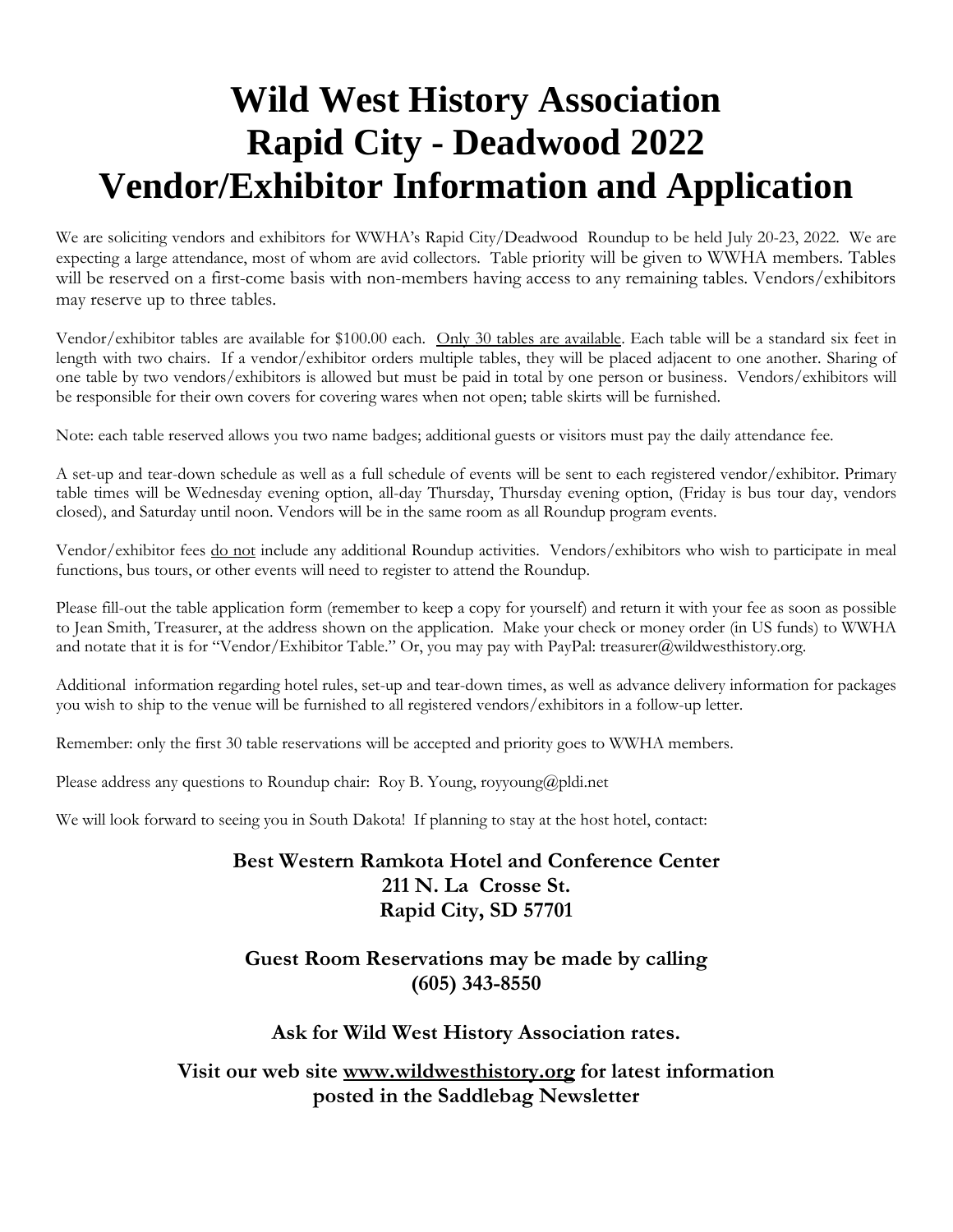# **Wild West History Association Rapid City - Deadwood 2022 Vendor/Exhibitor Information and Application**

We are soliciting vendors and exhibitors for WWHA's Rapid City/Deadwood Roundup to be held July 20-23, 2022. We are expecting a large attendance, most of whom are avid collectors. Table priority will be given to WWHA members. Tables will be reserved on a first-come basis with non-members having access to any remaining tables. Vendors/exhibitors may reserve up to three tables.

Vendor/exhibitor tables are available for \$100.00 each. Only 30 tables are available. Each table will be a standard six feet in length with two chairs. If a vendor/exhibitor orders multiple tables, they will be placed adjacent to one another. Sharing of one table by two vendors/exhibitors is allowed but must be paid in total by one person or business. Vendors/exhibitors will be responsible for their own covers for covering wares when not open; table skirts will be furnished.

Note: each table reserved allows you two name badges; additional guests or visitors must pay the daily attendance fee.

A set-up and tear-down schedule as well as a full schedule of events will be sent to each registered vendor/exhibitor. Primary table times will be Wednesday evening option, all-day Thursday, Thursday evening option, (Friday is bus tour day, vendors closed), and Saturday until noon. Vendors will be in the same room as all Roundup program events.

Vendor/exhibitor fees do not include any additional Roundup activities. Vendors/exhibitors who wish to participate in meal functions, bus tours, or other events will need to register to attend the Roundup.

Please fill-out the table application form (remember to keep a copy for yourself) and return it with your fee as soon as possible to Jean Smith, Treasurer, at the address shown on the application. Make your check or money order (in US funds) to WWHA and notate that it is for "Vendor/Exhibitor Table." Or, you may pay with PayPal: treasurer@wildwesthistory.org.

Additional information regarding hotel rules, set-up and tear-down times, as well as advance delivery information for packages you wish to ship to the venue will be furnished to all registered vendors/exhibitors in a follow-up letter.

Remember: only the first 30 table reservations will be accepted and priority goes to WWHA members.

Please address any questions to Roundup chair: Roy B. Young, royyoung@pldi.net

We will look forward to seeing you in South Dakota! If planning to stay at the host hotel, contact:

### **Best Western Ramkota Hotel and Conference Center 211 N. La Crosse St. Rapid City, SD 57701**

#### **Guest Room Reservations may be made by calling (605) 343-8550**

#### **Ask for Wild West History Association rates.**

**Visit our web site [www.wildwesthistory.org](http://www.wildwesthistory.org/) for latest information posted in the Saddlebag Newsletter**